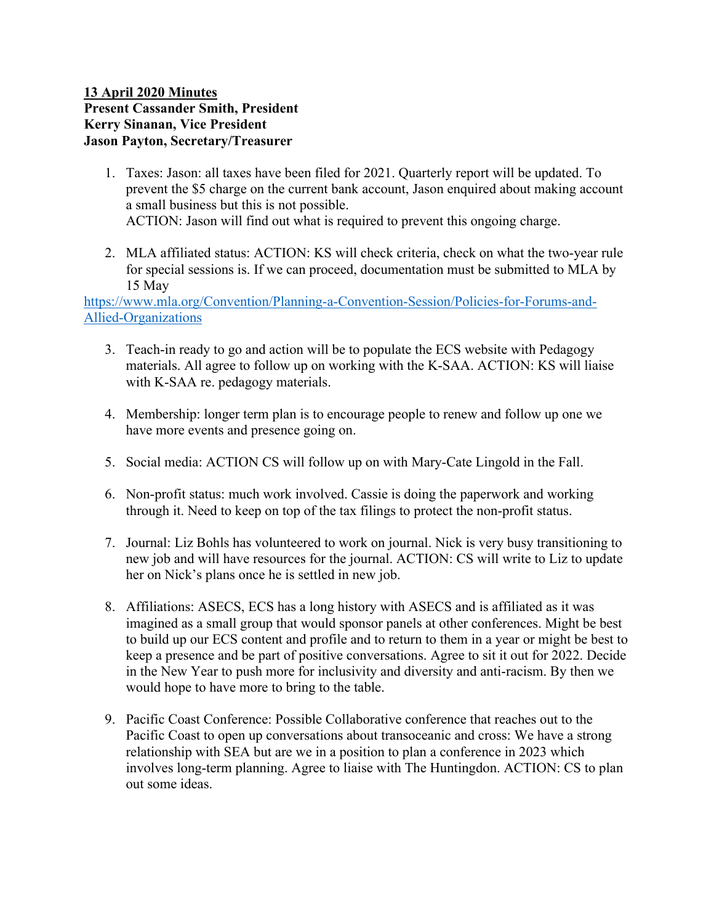## **13 April 2020 Minutes Present Cassander Smith, President Kerry Sinanan, Vice President Jason Payton, Secretary/Treasurer**

- 1. Taxes: Jason: all taxes have been filed for 2021. Quarterly report will be updated. To prevent the \$5 charge on the current bank account, Jason enquired about making account a small business but this is not possible. ACTION: Jason will find out what is required to prevent this ongoing charge.
- 2. MLA affiliated status: ACTION: KS will check criteria, check on what the two-year rule for special sessions is. If we can proceed, documentation must be submitted to MLA by 15 May

[https://www.mla.org/Convention/Planning-a-Convention-Session/Policies-for-Forums-and-](https://www.mla.org/Convention/Planning-a-Convention-Session/Policies-for-Forums-and-Allied-Organizations)[Allied-Organizations](https://www.mla.org/Convention/Planning-a-Convention-Session/Policies-for-Forums-and-Allied-Organizations)

- 3. Teach-in ready to go and action will be to populate the ECS website with Pedagogy materials. All agree to follow up on working with the K-SAA. ACTION: KS will liaise with K-SAA re. pedagogy materials.
- 4. Membership: longer term plan is to encourage people to renew and follow up one we have more events and presence going on.
- 5. Social media: ACTION CS will follow up on with Mary-Cate Lingold in the Fall.
- 6. Non-profit status: much work involved. Cassie is doing the paperwork and working through it. Need to keep on top of the tax filings to protect the non-profit status.
- 7. Journal: Liz Bohls has volunteered to work on journal. Nick is very busy transitioning to new job and will have resources for the journal. ACTION: CS will write to Liz to update her on Nick's plans once he is settled in new job.
- 8. Affiliations: ASECS, ECS has a long history with ASECS and is affiliated as it was imagined as a small group that would sponsor panels at other conferences. Might be best to build up our ECS content and profile and to return to them in a year or might be best to keep a presence and be part of positive conversations. Agree to sit it out for 2022. Decide in the New Year to push more for inclusivity and diversity and anti-racism. By then we would hope to have more to bring to the table.
- 9. Pacific Coast Conference: Possible Collaborative conference that reaches out to the Pacific Coast to open up conversations about transoceanic and cross: We have a strong relationship with SEA but are we in a position to plan a conference in 2023 which involves long-term planning. Agree to liaise with The Huntingdon. ACTION: CS to plan out some ideas.